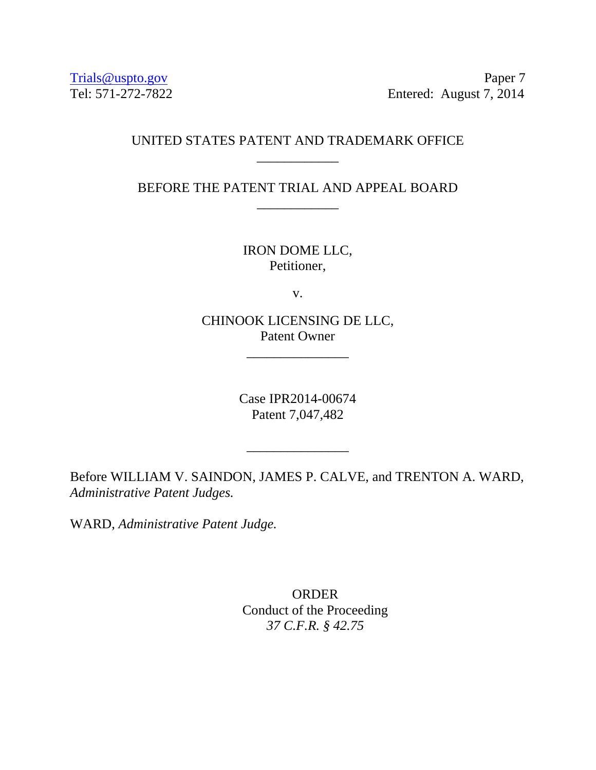Trials@uspto.gov Paper 7 Tel: 571-272-7822 Entered: August 7, 2014

## UNITED STATES PATENT AND TRADEMARK OFFICE \_\_\_\_\_\_\_\_\_\_\_\_

BEFORE THE PATENT TRIAL AND APPEAL BOARD \_\_\_\_\_\_\_\_\_\_\_\_

> IRON DOME LLC, Petitioner,

> > v.

CHINOOK LICENSING DE LLC, Patent Owner

\_\_\_\_\_\_\_\_\_\_\_\_\_\_\_

Case IPR2014-00674 Patent 7,047,482

\_\_\_\_\_\_\_\_\_\_\_\_\_\_\_

Before WILLIAM V. SAINDON, JAMES P. CALVE, and TRENTON A. WARD, *Administrative Patent Judges.* 

WARD, *Administrative Patent Judge.* 

**ORDER** Conduct of the Proceeding *37 C.F.R. § 42.75*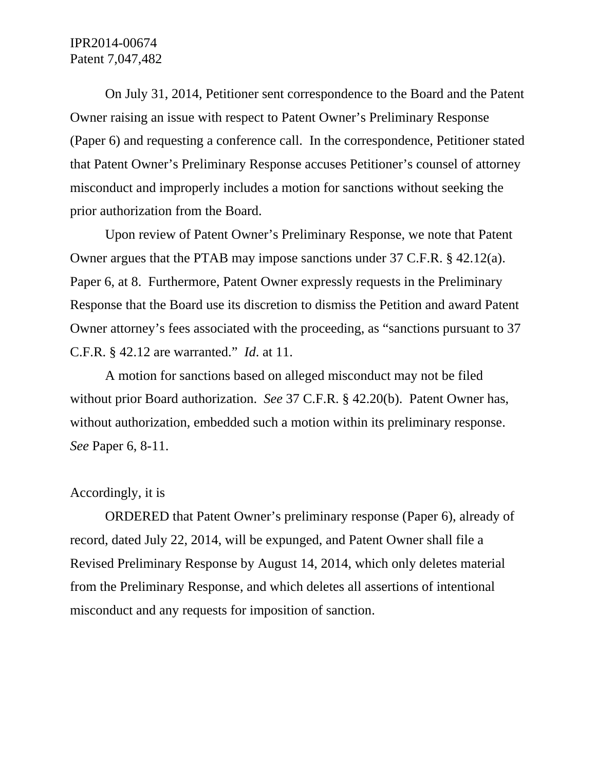## IPR2014-00674 Patent 7,047,482

 On July 31, 2014, Petitioner sent correspondence to the Board and the Patent Owner raising an issue with respect to Patent Owner's Preliminary Response (Paper 6) and requesting a conference call. In the correspondence, Petitioner stated that Patent Owner's Preliminary Response accuses Petitioner's counsel of attorney misconduct and improperly includes a motion for sanctions without seeking the prior authorization from the Board.

 Upon review of Patent Owner's Preliminary Response, we note that Patent Owner argues that the PTAB may impose sanctions under 37 C.F.R. § 42.12(a). Paper 6, at 8. Furthermore, Patent Owner expressly requests in the Preliminary Response that the Board use its discretion to dismiss the Petition and award Patent Owner attorney's fees associated with the proceeding, as "sanctions pursuant to 37 C.F.R. § 42.12 are warranted." *Id*. at 11.

A motion for sanctions based on alleged misconduct may not be filed without prior Board authorization. *See* 37 C.F.R. § 42.20(b). Patent Owner has, without authorization, embedded such a motion within its preliminary response. *See* Paper 6, 8-11.

## Accordingly, it is

ORDERED that Patent Owner's preliminary response (Paper 6), already of record, dated July 22, 2014, will be expunged, and Patent Owner shall file a Revised Preliminary Response by August 14, 2014, which only deletes material from the Preliminary Response, and which deletes all assertions of intentional misconduct and any requests for imposition of sanction.